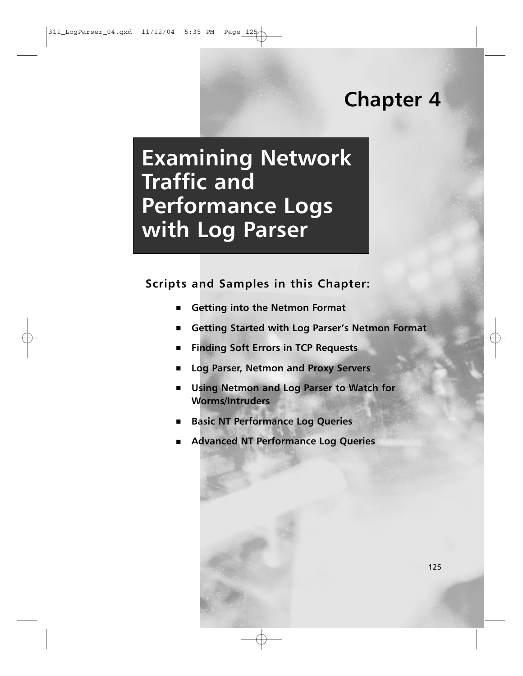# **Chapter 4**

# **Examining Network Traffic and Performance Logs with Log Parser**

### **Scripts and Samples in this Chapter:**

- **Getting into the Netmon Format**
- **Getting Started with Log Parser's Netmon Format**
- **Finding Soft Errors in TCP Requests**
- **Log Parser, Netmon and Proxy Servers**
- **Using Netmon and Log Parser to Watch for Worms/Intruders**
- **Basic NT Performance Log Queries**
- **Advanced NT Performance Log Queries**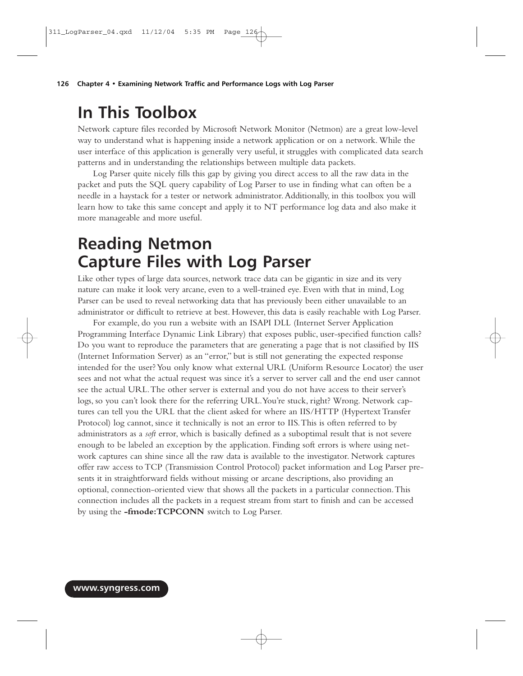# **In This Toolbox**

Network capture files recorded by Microsoft Network Monitor (Netmon) are a great low-level way to understand what is happening inside a network application or on a network. While the user interface of this application is generally very useful, it struggles with complicated data search patterns and in understanding the relationships between multiple data packets.

Log Parser quite nicely fills this gap by giving you direct access to all the raw data in the packet and puts the SQL query capability of Log Parser to use in finding what can often be a needle in a haystack for a tester or network administrator.Additionally, in this toolbox you will learn how to take this same concept and apply it to NT performance log data and also make it more manageable and more useful.

# **Reading Netmon Capture Files with Log Parser**

Like other types of large data sources, network trace data can be gigantic in size and its very nature can make it look very arcane, even to a well-trained eye. Even with that in mind, Log Parser can be used to reveal networking data that has previously been either unavailable to an administrator or difficult to retrieve at best. However, this data is easily reachable with Log Parser.

For example, do you run a website with an ISAPI DLL (Internet Server Application Programming Interface Dynamic Link Library) that exposes public, user-specified function calls? Do you want to reproduce the parameters that are generating a page that is not classified by IIS (Internet Information Server) as an "error," but is still not generating the expected response intended for the user? You only know what external URL (Uniform Resource Locator) the user sees and not what the actual request was since it's a server to server call and the end user cannot see the actual URL.The other server is external and you do not have access to their server's logs, so you can't look there for the referring URL.You're stuck, right? Wrong. Network captures can tell you the URL that the client asked for where an IIS/HTTP (Hypertext Transfer Protocol) log cannot, since it technically is not an error to IIS.This is often referred to by administrators as a *soft* error, which is basically defined as a suboptimal result that is not severe enough to be labeled an exception by the application. Finding soft errors is where using network captures can shine since all the raw data is available to the investigator. Network captures offer raw access to TCP (Transmission Control Protocol) packet information and Log Parser presents it in straightforward fields without missing or arcane descriptions, also providing an optional, connection-oriented view that shows all the packets in a particular connection.This connection includes all the packets in a request stream from start to finish and can be accessed by using the **-fmode:TCPCONN** switch to Log Parser.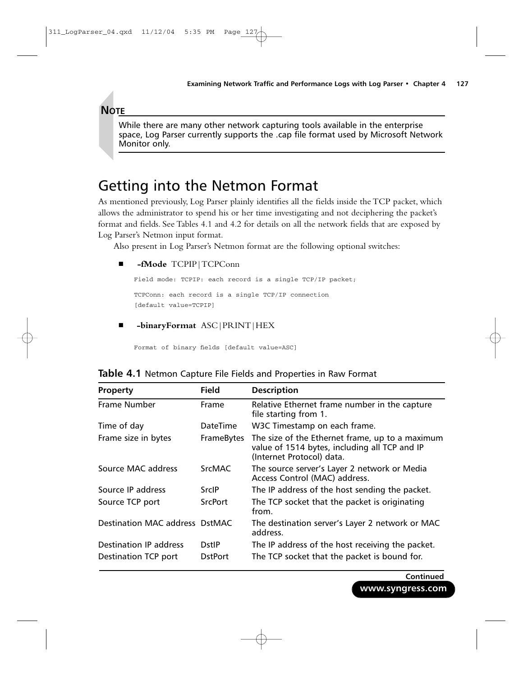### **NOTE**

While there are many other network capturing tools available in the enterprise space, Log Parser currently supports the .cap file format used by Microsoft Network Monitor only.

## Getting into the Netmon Format

As mentioned previously, Log Parser plainly identifies all the fields inside the TCP packet, which allows the administrator to spend his or her time investigating and not deciphering the packet's format and fields. See Tables 4.1 and 4.2 for details on all the network fields that are exposed by Log Parser's Netmon input format.

Also present in Log Parser's Netmon format are the following optional switches:

#### ■ **-fMode** TCPIP|TCPConn

Field mode: TCPIP: each record is a single TCP/IP packet; TCPConn: each record is a single TCP/IP connection [default value=TCPIP]

### ■ **-binaryFormat** ASC|PRINT|HEX

Format of binary fields [default value=ASC]

| <b>Property</b>                | <b>Field</b>    | <b>Description</b>                                                                                                            |
|--------------------------------|-----------------|-------------------------------------------------------------------------------------------------------------------------------|
| Frame Number                   | Frame           | Relative Ethernet frame number in the capture<br>file starting from 1.                                                        |
| Time of day                    | <b>DateTime</b> | W3C Timestamp on each frame.                                                                                                  |
| Frame size in bytes            | FrameBytes      | The size of the Ethernet frame, up to a maximum<br>value of 1514 bytes, including all TCP and IP<br>(Internet Protocol) data. |
| Source MAC address             | <b>SrcMAC</b>   | The source server's Layer 2 network or Media<br>Access Control (MAC) address.                                                 |
| Source IP address              | SrcIP           | The IP address of the host sending the packet.                                                                                |
| Source TCP port                | <b>SrcPort</b>  | The TCP socket that the packet is originating<br>from.                                                                        |
| Destination MAC address DstMAC |                 | The destination server's Layer 2 network or MAC<br>address.                                                                   |
| Destination IP address         | DstIP           | The IP address of the host receiving the packet.                                                                              |
| Destination TCP port           | <b>DstPort</b>  | The TCP socket that the packet is bound for.                                                                                  |

#### **Table 4.1** Netmon Capture File Fields and Properties in Raw Format

**www.syngress.com Continued**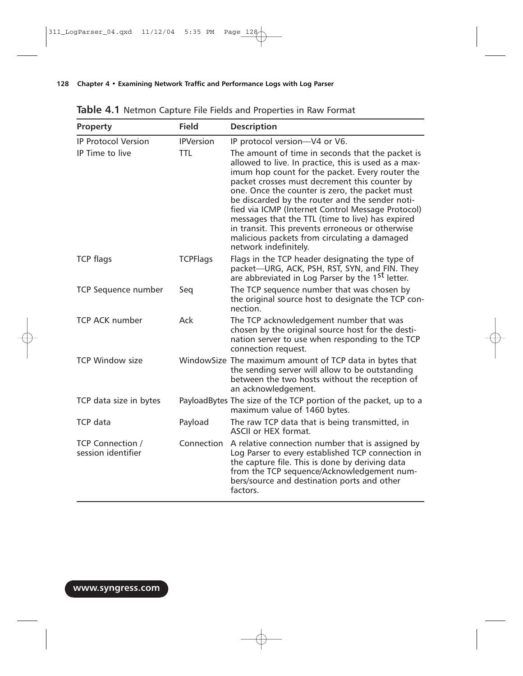| <b>Property</b>                        | <b>Field</b>     | <b>Description</b>                                                                                                                                                                                                                                                                                                                                                                                                                                                                                                                                      |
|----------------------------------------|------------------|---------------------------------------------------------------------------------------------------------------------------------------------------------------------------------------------------------------------------------------------------------------------------------------------------------------------------------------------------------------------------------------------------------------------------------------------------------------------------------------------------------------------------------------------------------|
| <b>IP Protocol Version</b>             | <b>IPVersion</b> | IP protocol version-V4 or V6.                                                                                                                                                                                                                                                                                                                                                                                                                                                                                                                           |
| IP Time to live                        | <b>TTL</b>       | The amount of time in seconds that the packet is<br>allowed to live. In practice, this is used as a max-<br>imum hop count for the packet. Every router the<br>packet crosses must decrement this counter by<br>one. Once the counter is zero, the packet must<br>be discarded by the router and the sender noti-<br>fied via ICMP (Internet Control Message Protocol)<br>messages that the TTL (time to live) has expired<br>in transit. This prevents erroneous or otherwise<br>malicious packets from circulating a damaged<br>network indefinitely. |
| <b>TCP flags</b>                       | <b>TCPFlags</b>  | Flags in the TCP header designating the type of<br>packet-URG, ACK, PSH, RST, SYN, and FIN. They<br>are abbreviated in Log Parser by the 1 <sup>st</sup> letter.                                                                                                                                                                                                                                                                                                                                                                                        |
| <b>TCP Sequence number</b>             | Seq              | The TCP sequence number that was chosen by<br>the original source host to designate the TCP con-<br>nection.                                                                                                                                                                                                                                                                                                                                                                                                                                            |
| <b>TCP ACK number</b>                  | Ack              | The TCP acknowledgement number that was<br>chosen by the original source host for the desti-<br>nation server to use when responding to the TCP<br>connection request.                                                                                                                                                                                                                                                                                                                                                                                  |
| <b>TCP Window size</b>                 |                  | WindowSize The maximum amount of TCP data in bytes that<br>the sending server will allow to be outstanding<br>between the two hosts without the reception of<br>an acknowledgement.                                                                                                                                                                                                                                                                                                                                                                     |
| TCP data size in bytes                 |                  | PayloadBytes The size of the TCP portion of the packet, up to a<br>maximum value of 1460 bytes.                                                                                                                                                                                                                                                                                                                                                                                                                                                         |
| <b>TCP</b> data                        | Payload          | The raw TCP data that is being transmitted, in<br>ASCII or HEX format.                                                                                                                                                                                                                                                                                                                                                                                                                                                                                  |
| TCP Connection /<br>session identifier |                  | Connection A relative connection number that is assigned by<br>Log Parser to every established TCP connection in<br>the capture file. This is done by deriving data<br>from the TCP sequence/Acknowledgement num-<br>bers/source and destination ports and other<br>factors.                                                                                                                                                                                                                                                                            |

**Table 4.1** Netmon Capture File Fields and Properties in Raw Format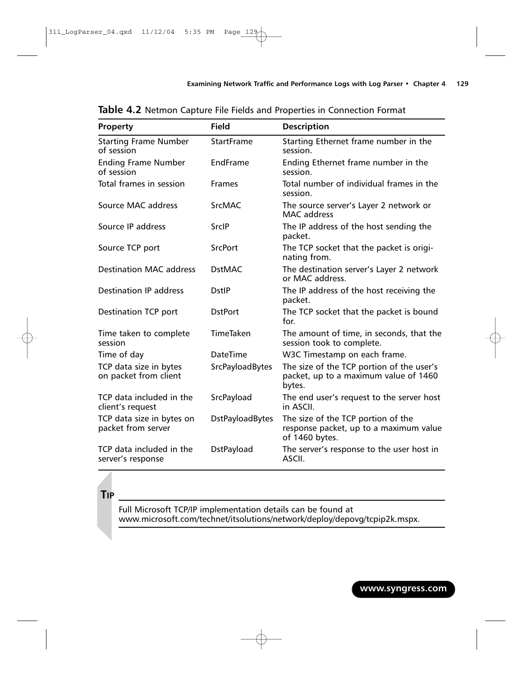| Property                                        | Field                  | <b>Description</b>                                                                             |
|-------------------------------------------------|------------------------|------------------------------------------------------------------------------------------------|
| <b>Starting Frame Number</b><br>of session      | <b>StartFrame</b>      | Starting Ethernet frame number in the<br>session.                                              |
| <b>Ending Frame Number</b><br>of session        | EndFrame               | Ending Ethernet frame number in the<br>session.                                                |
| Total frames in session                         | <b>Frames</b>          | Total number of individual frames in the<br>session.                                           |
| Source MAC address                              | <b>SrcMAC</b>          | The source server's Layer 2 network or<br>MAC address                                          |
| Source IP address                               | <b>SrcIP</b>           | The IP address of the host sending the<br>packet.                                              |
| Source TCP port                                 | <b>SrcPort</b>         | The TCP socket that the packet is origi-<br>nating from.                                       |
| <b>Destination MAC address</b>                  | <b>DstMAC</b>          | The destination server's Layer 2 network<br>or MAC address.                                    |
| <b>Destination IP address</b>                   | <b>DstIP</b>           | The IP address of the host receiving the<br>packet.                                            |
| <b>Destination TCP port</b>                     | <b>DstPort</b>         | The TCP socket that the packet is bound<br>for.                                                |
| Time taken to complete<br>session               | <b>TimeTaken</b>       | The amount of time, in seconds, that the<br>session took to complete.                          |
| Time of day                                     | <b>DateTime</b>        | W3C Timestamp on each frame.                                                                   |
| TCP data size in bytes<br>on packet from client | <b>SrcPayloadBytes</b> | The size of the TCP portion of the user's<br>packet, up to a maximum value of 1460<br>bytes.   |
| TCP data included in the<br>client's request    | SrcPayload             | The end user's request to the server host<br>in ASCII.                                         |
| TCP data size in bytes on<br>packet from server | <b>DstPayloadBytes</b> | The size of the TCP portion of the<br>response packet, up to a maximum value<br>of 1460 bytes. |
| TCP data included in the<br>server's response   | DstPayload             | The server's response to the user host in<br>ASCII.                                            |

**Table 4.2** Netmon Capture File Fields and Properties in Connection Format

**TIP**

Full Microsoft TCP/IP implementation details can be found at www.microsoft.com/technet/itsolutions/network/deploy/depovg/tcpip2k.mspx.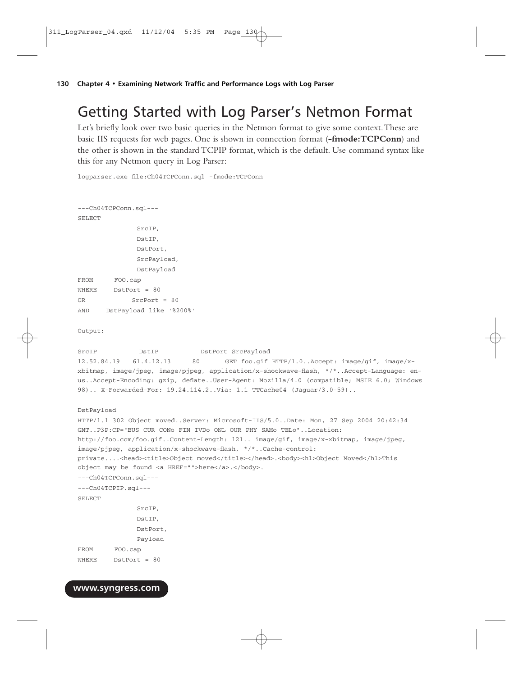## Getting Started with Log Parser's Netmon Format

Let's briefly look over two basic queries in the Netmon format to give some context.These are basic IIS requests for web pages. One is shown in connection format (**-fmode:TCPConn**) and the other is shown in the standard TCPIP format, which is the default. Use command syntax like this for any Netmon query in Log Parser:

```
logparser.exe file:Ch04TCPConn.sql -fmode:TCPConn
---Ch04TCPConn.sql---
SELECT<sup>P</sup>
              SrcIP,
              DstIP,
              DstPort,
              SrcPayload,
              DstPayload
FROM FOO.cap
WHERE DstPort = 80 
OR SrcPort = 80
AND DstPayload like '%200%'
Output:
SrcIP DstIP DstPort SrcPayload
12.52.84.19 61.4.12.13 80 GET foo.gif HTTP/1.0..Accept: image/gif, image/x-
xbitmap, image/jpeg, image/pjpeg, application/x-shockwave-flash, */*..Accept-Language: en-
us..Accept-Encoding: gzip, deflate..User-Agent: Mozilla/4.0 (compatible; MSIE 6.0; Windows
98).. X-Forwarded-For: 19.24.114.2..Via: 1.1 TTCache04 (Jaguar/3.0-59)..
DstPayload
HTTP/1.1 302 Object moved..Server: Microsoft-IIS/5.0..Date: Mon, 27 Sep 2004 20:42:34
GMT..P3P:CP="BUS CUR CONo FIN IVDo ONL OUR PHY SAMo TELo"..Location:
http://foo.com/foo.gif..Content-Length: 121.. image/gif, image/x-xbitmap, image/jpeg,
image/pjpeg, application/x-shockwave-flash, */*..Cache-control:
private....<head><title>Object moved</title></head>.<body><h1>Object Moved</h1>This
object may be found <a HREF="">here</a>.</body>.
---Ch04TCPConn.sql---
---Ch04TCPIP.sql---
SELECT 
              SrcIP,
              DstIP,
              DstPort,
              Payload
FROM FOO.cap
WHERE DstPort = 80
```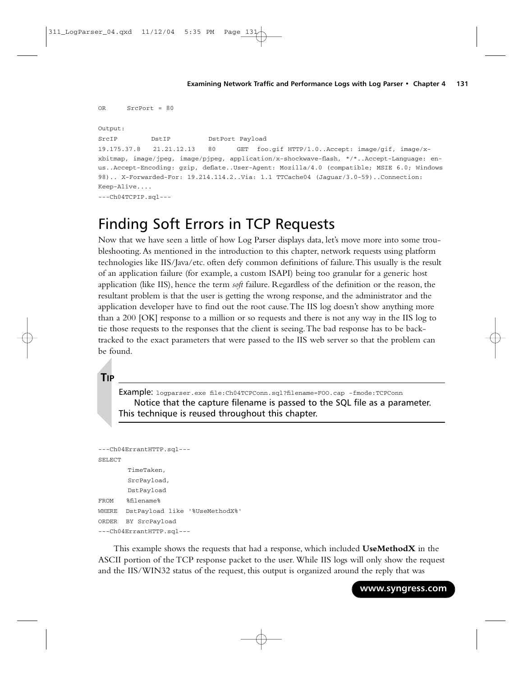```
OR SrcPort = 80
Output:
SrcIP DstIP DstPort Payload
19.175.37.8 21.21.12.13 80 GET foo.gif HTTP/1.0..Accept: image/gif, image/x-
xbitmap, image/jpeg, image/pjpeg, application/x-shockwave-flash, */*..Accept-Language: en-
us..Accept-Encoding: gzip, deflate..User-Agent: Mozilla/4.0 (compatible; MSIE 6.0; Windows
98).. X-Forwarded-For: 19.214.114.2..Via: 1.1 TTCache04 (Jaguar/3.0-59)..Connection:
Keep-Alive....
---Ch04TCPIP.sql---
```
## Finding Soft Errors in TCP Requests

Now that we have seen a little of how Log Parser displays data, let's move more into some troubleshooting.As mentioned in the introduction to this chapter, network requests using platform technologies like IIS/Java/etc. often defy common definitions of failure.This usually is the result of an application failure (for example, a custom ISAPI) being too granular for a generic host application (like IIS), hence the term *soft* failure. Regardless of the definition or the reason, the resultant problem is that the user is getting the wrong response, and the administrator and the application developer have to find out the root cause.The IIS log doesn't show anything more than a 200 [OK] response to a million or so requests and there is not any way in the IIS log to tie those requests to the responses that the client is seeing.The bad response has to be backtracked to the exact parameters that were passed to the IIS web server so that the problem can be found.

#### **TIP**

Example: logparser.exe file:Ch04TCPConn.sql?filename=FOO.cap -fmode:TCPConn Notice that the capture filename is passed to the SQL file as a parameter. This technique is reused throughout this chapter.

```
---Ch04ErrantHTTP.sql---
SELECT 
       TimeTaken,
       SrcPayload,
       DstPayload
FROM %filename%
WHERE DstPayload like '%UseMethodX%'
ORDER BY SrcPayload
---Ch04ErrantHTTP.sql---
```
This example shows the requests that had a response, which included **UseMethodX** in the ASCII portion of the TCP response packet to the user. While IIS logs will only show the request and the IIS/WIN32 status of the request, this output is organized around the reply that was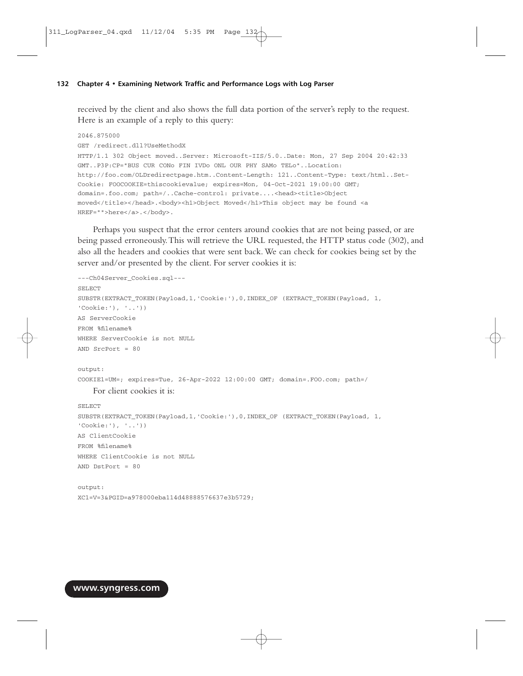received by the client and also shows the full data portion of the server's reply to the request. Here is an example of a reply to this query:

```
2046.875000 
GET /redirect.dll?UseMethodX
HTTP/1.1 302 Object moved..Server: Microsoft-IIS/5.0..Date: Mon, 27 Sep 2004 20:42:33
GMT..P3P:CP="BUS CUR CONo FIN IVDo ONL OUR PHY SAMo TELo"..Location:
http://foo.com/OLDredirectpage.htm..Content-Length: 121..Content-Type: text/html..Set-
Cookie: FOOCOOKIE=thiscookievalue; expires=Mon, 04-Oct-2021 19:00:00 GMT;
domain=.foo.com; path=/..Cache-control: private....<head><title>Object
moved</title></head>.<br/>sody><h1>Object Moved</h1>This object may be found <a
HREF="">here</a>.</body>.
```
Perhaps you suspect that the error centers around cookies that are not being passed, or are being passed erroneously.This will retrieve the URL requested, the HTTP status code (302), and also all the headers and cookies that were sent back. We can check for cookies being set by the server and/or presented by the client. For server cookies it is:

```
---Ch04Server_Cookies.sql---
SELECT
SUBSTR(EXTRACT_TOKEN(Payload,1,'Cookie:'),0,INDEX_OF (EXTRACT_TOKEN(Payload, 1,
'Cookie:'), '..')) 
AS ServerCookie
FROM %filename%
WHERE ServerCookie is not NULL
AND SrcPort = 80
output: 
COOKIE1=UM=; expires=Tue, 26-Apr-2022 12:00:00 GMT; domain=.FOO.com; path=/
    For client cookies it is:
SELECT
SUBSTR(EXTRACT_TOKEN(Payload,1,'Cookie:'),0,INDEX_OF (EXTRACT_TOKEN(Payload, 1,
'Cookie:'), '..')) 
AS ClientCookie
FROM %filename%
WHERE ClientCookie is not NULL 
AND DstPort = 80
```

```
output:
XC1=V=3&PGID=a978000eba114d48888576637e3b5729;
```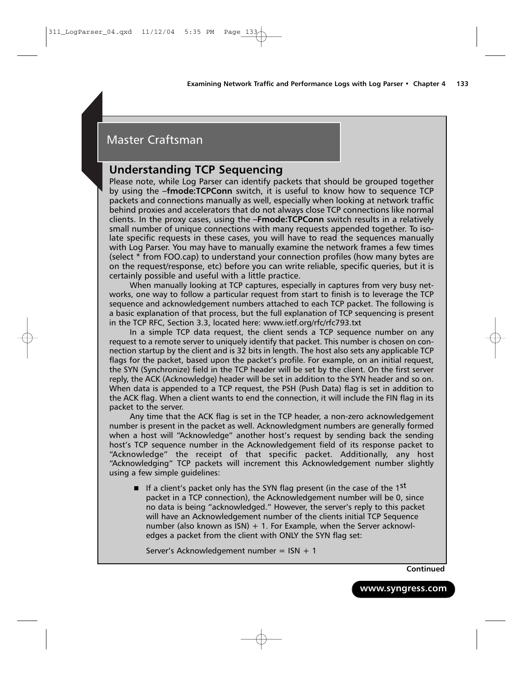### Master Craftsman

### **Understanding TCP Sequencing**

Please note, while Log Parser can identify packets that should be grouped together by using the **–fmode:TCPConn** switch, it is useful to know how to sequence TCP packets and connections manually as well, especially when looking at network traffic behind proxies and accelerators that do not always close TCP connections like normal clients. In the proxy cases, using the **–Fmode:TCPConn** switch results in a relatively small number of unique connections with many requests appended together. To isolate specific requests in these cases, you will have to read the sequences manually with Log Parser. You may have to manually examine the network frames a few times (select \* from FOO.cap) to understand your connection profiles (how many bytes are on the request/response, etc) before you can write reliable, specific queries, but it is certainly possible and useful with a little practice.

When manually looking at TCP captures, especially in captures from very busy networks, one way to follow a particular request from start to finish is to leverage the TCP sequence and acknowledgement numbers attached to each TCP packet. The following is a basic explanation of that process, but the full explanation of TCP sequencing is present in the TCP RFC, Section 3.3, located here: www.ietf.org/rfc/rfc793.txt

In a simple TCP data request, the client sends a TCP sequence number on any request to a remote server to uniquely identify that packet. This number is chosen on connection startup by the client and is 32 bits in length. The host also sets any applicable TCP flags for the packet, based upon the packet's profile. For example, on an initial request, the SYN (Synchronize) field in the TCP header will be set by the client. On the first server reply, the ACK (Acknowledge) header will be set in addition to the SYN header and so on. When data is appended to a TCP request, the PSH (Push Data) flag is set in addition to the ACK flag. When a client wants to end the connection, it will include the FIN flag in its packet to the server.

Any time that the ACK flag is set in the TCP header, a non-zero acknowledgement number is present in the packet as well. Acknowledgment numbers are generally formed when a host will "Acknowledge" another host's request by sending back the sending host's TCP sequence number in the Acknowledgement field of its response packet to "Acknowledge" the receipt of that specific packet. Additionally, any host "Acknowledging" TCP packets will increment this Acknowledgement number slightly using a few simple guidelines:

 $\blacksquare$  If a client's packet only has the SYN flag present (in the case of the 1<sup>st</sup> packet in a TCP connection), the Acknowledgement number will be 0, since no data is being "acknowledged." However, the server's reply to this packet will have an Acknowledgement number of the clients initial TCP Sequence number (also known as  $|SN| + 1$ . For Example, when the Server acknowledges a packet from the client with ONLY the SYN flag set:

Server's Acknowledgement number =  $ISN + 1$ 

**Continued**

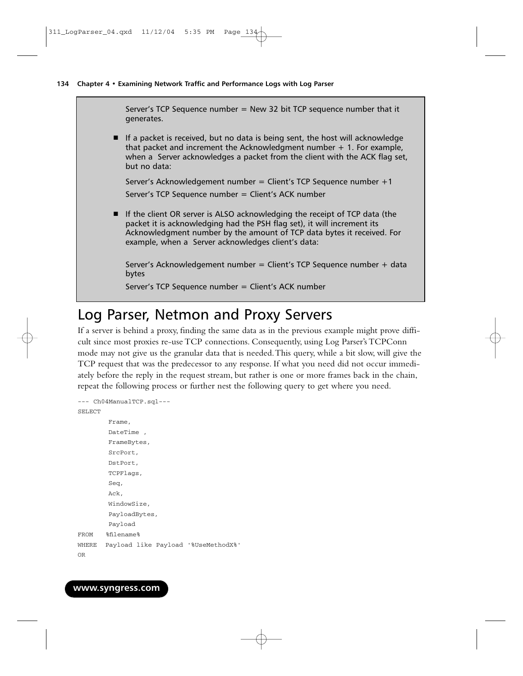Server's TCP Sequence number  $=$  New 32 bit TCP sequence number that it generates.

■ If a packet is received, but no data is being sent, the host will acknowledge that packet and increment the Acknowledgment number + 1. For example, when a Server acknowledges a packet from the client with the ACK flag set, but no data:

Server's Acknowledgement number = Client's TCP Sequence number +1

Server's TCP Sequence number = Client's ACK number

■ If the client OR server is ALSO acknowledging the receipt of TCP data (the packet it is acknowledging had the PSH flag set), it will increment its Acknowledgment number by the amount of TCP data bytes it received. For example, when a Server acknowledges client's data:

Server's Acknowledgement number = Client's TCP Sequence number + data bytes

Server's TCP Sequence number = Client's ACK number

## Log Parser, Netmon and Proxy Servers

If a server is behind a proxy, finding the same data as in the previous example might prove difficult since most proxies re-use TCP connections. Consequently, using Log Parser's TCPConn mode may not give us the granular data that is needed.This query, while a bit slow, will give the TCP request that was the predecessor to any response. If what you need did not occur immediately before the reply in the request stream, but rather is one or more frames back in the chain, repeat the following process or further nest the following query to get where you need.

```
--- Ch04ManualTCP.sql---
SELECT 
         Frame,
         DateTime ,
         FrameBytes,
         SrcPort,
         DstPort,
         TCPFlags,
         Seq,
         \Delta \cap \mathbf{k}WindowSize,
         PayloadBytes,
        Payload
FROM %filename%
WHERE Payload like Payload '%UseMethodX%'
OR
```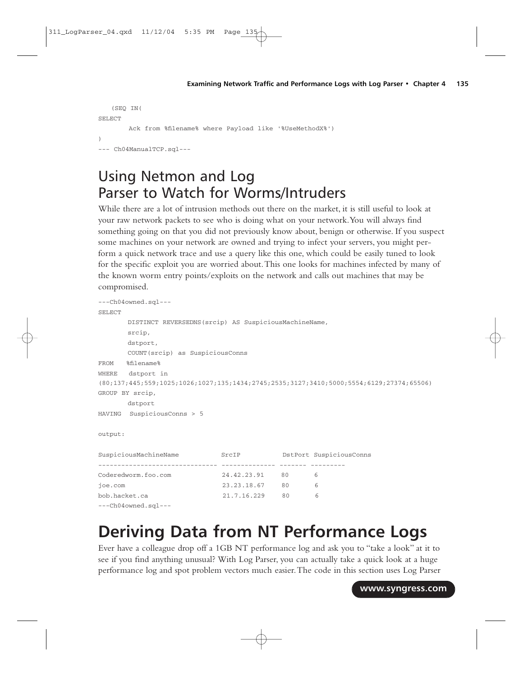```
(SEQ IN(
SELECT.
        Ack from %filename% where Payload like '%UseMethodX%')
)
--- Ch04ManualTCP.sql---
```
## Using Netmon and Log Parser to Watch for Worms/Intruders

While there are a lot of intrusion methods out there on the market, it is still useful to look at your raw network packets to see who is doing what on your network.You will always find something going on that you did not previously know about, benign or otherwise. If you suspect some machines on your network are owned and trying to infect your servers, you might perform a quick network trace and use a query like this one, which could be easily tuned to look for the specific exploit you are worried about.This one looks for machines infected by many of the known worm entry points/exploits on the network and calls out machines that may be compromised.

```
---Ch04owned.sql---
SELECT 
      DISTINCT REVERSEDNS(srcip) AS SuspiciousMachineName, 
      srcip,
      dstport, 
      COUNT(srcip) as SuspiciousConns
FROM %filename%
WHERE dstport in
(80;137;445;559;1025;1026;1027;135;1434;2745;2535;3127;3410;5000;5554;6129;27374;65506) 
GROUP BY srcip,
      dstport 
HAVING SuspiciousConns > 5
output: 
SuspiciousMachineName SrcIP DstPort SuspiciousConns
  ------------------------------- -------------- ------- ---------
Coderedworm.foo.com 24.42.23.91 80 6
joe.com 23.23.18.67 80 6
bob.hacket.ca 21.7.16.229 80 6
```

```
---Ch04owned.sql---
```
# **Deriving Data from NT Performance Logs**

Ever have a colleague drop off a 1GB NT performance log and ask you to "take a look" at it to see if you find anything unusual? With Log Parser, you can actually take a quick look at a huge performance log and spot problem vectors much easier.The code in this section uses Log Parser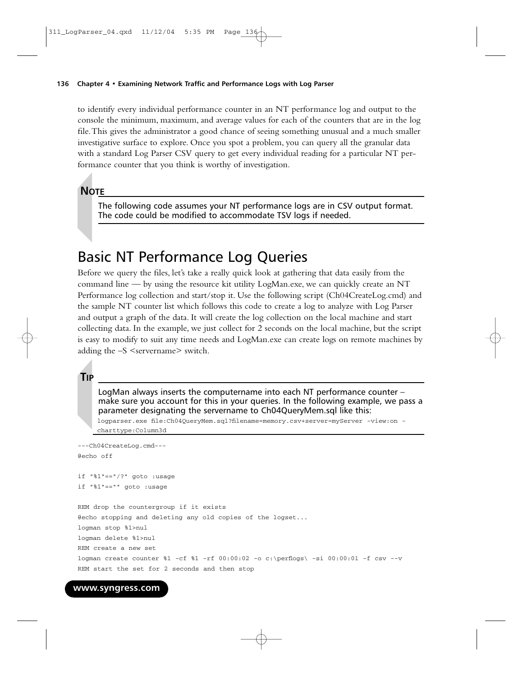to identify every individual performance counter in an NT performance log and output to the console the minimum, maximum, and average values for each of the counters that are in the log file.This gives the administrator a good chance of seeing something unusual and a much smaller investigative surface to explore. Once you spot a problem, you can query all the granular data with a standard Log Parser CSV query to get every individual reading for a particular NT performance counter that you think is worthy of investigation.

#### **NOTE**

The following code assumes your NT performance logs are in CSV output format. The code could be modified to accommodate TSV logs if needed.

## Basic NT Performance Log Queries

Before we query the files, let's take a really quick look at gathering that data easily from the command line — by using the resource kit utility LogMan.exe, we can quickly create an NT Performance log collection and start/stop it. Use the following script (Ch04CreateLog.cmd) and the sample NT counter list which follows this code to create a log to analyze with Log Parser and output a graph of the data. It will create the log collection on the local machine and start collecting data. In the example, we just collect for 2 seconds on the local machine, but the script is easy to modify to suit any time needs and LogMan.exe can create logs on remote machines by adding the  $-S$  <servername> switch.

### **TIP**

LogMan always inserts the computername into each NT performance counter – make sure you account for this in your queries. In the following example, we pass a parameter designating the servername to Ch04QueryMem.sql like this:

logparser.exe file:Ch04QueryMem.sql?filename=memory.csv+server=myServer -view:on charttype:Column3d

```
---Ch04CreateLog.cmd---
@echo off
if "%1"=="/?" goto :usage
if "%1"=="" goto :usage
REM drop the countergroup if it exists
@echo stopping and deleting any old copies of the logset...
logman stop %1>nul
```
logman delete %1>nul REM create a new set logman create counter  $l -cf$   $l -rf$  00:00:02 -o c:\perflogs\ -si 00:00:01 -f csv --v REM start the set for 2 seconds and then stop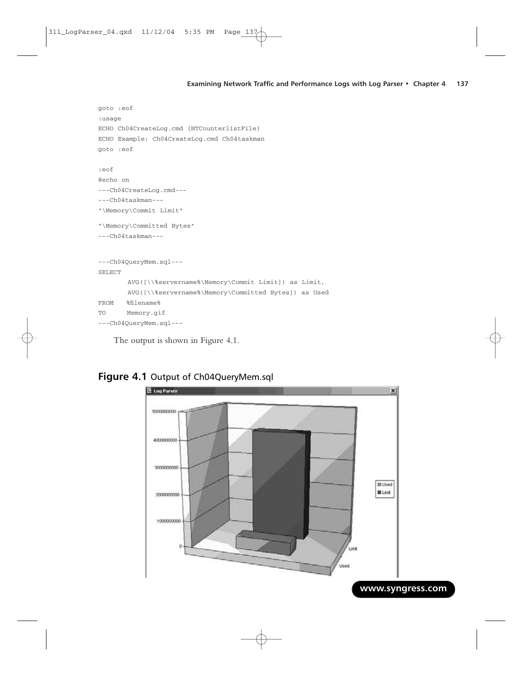```
goto :eof
:usage 
ECHO Ch04CreateLog.cmd {NTCounterlistFile}
ECHO Example: Ch04CreateLog.cmd Ch04taskman
goto :eof
:eof
@echo on
---Ch04CreateLog.cmd---
---Ch04taskman---
"\Memory\Commit Limit"
"\Memory\Committed Bytes"
---Ch04taskman---
---Ch04QueryMem.sql---
SELECT 
       AVG([\\%servername%\Memory\Commit Limit]) as Limit,
       AVG([\\%servername%\Memory\Committed Bytes]) as Used
FROM %filename%
TO Memory.gif 
---Ch04QueryMem.sql---
```
The output is shown in Figure 4.1.



### **Figure 4.1** Output of Ch04QueryMem.sql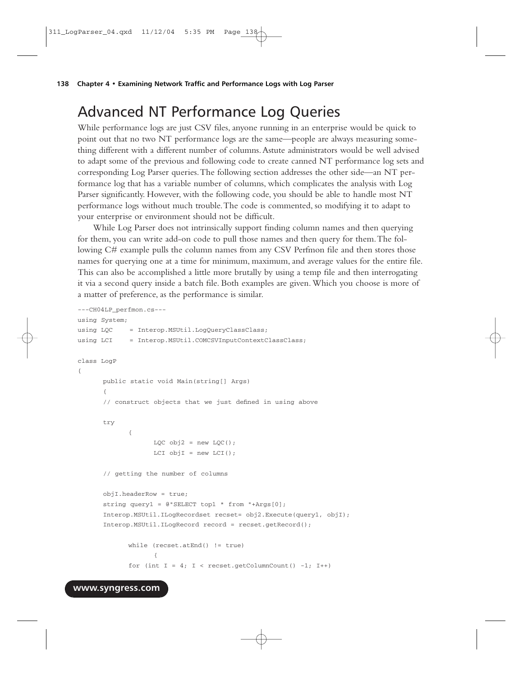## Advanced NT Performance Log Queries

While performance logs are just CSV files, anyone running in an enterprise would be quick to point out that no two NT performance logs are the same—people are always measuring something different with a different number of columns.Astute administrators would be well advised to adapt some of the previous and following code to create canned NT performance log sets and corresponding Log Parser queries.The following section addresses the other side—an NT performance log that has a variable number of columns, which complicates the analysis with Log Parser significantly. However, with the following code, you should be able to handle most NT performance logs without much trouble.The code is commented, so modifying it to adapt to your enterprise or environment should not be difficult.

While Log Parser does not intrinsically support finding column names and then querying for them, you can write add-on code to pull those names and then query for them.The following C# example pulls the column names from any CSV Perfmon file and then stores those names for querying one at a time for minimum, maximum, and average values for the entire file. This can also be accomplished a little more brutally by using a temp file and then interrogating it via a second query inside a batch file. Both examples are given. Which you choose is more of a matter of preference, as the performance is similar.

```
---CH04LP_perfmon.cs---
using System;
using LQC = Interop.MSUtil.LogQueryClassClass;
using LCI = Interop.MSUtil.COMCSVInputContextClassClass;
class LogP
{
      public static void Main(string[] Args) 
      {
      // construct objects that we just defined in using above
      try 
             {
                  LQC obj2 = new LQC();
                   LCI objI = new LCI();
      // getting the number of columns
      objI.headerRow = true; 
      string query1 = @"SELECT top1 * from "+Args[0];
      Interop.MSUtil.ILogRecordset recset= obj2.Execute(query1, objI);
      Interop.MSUtil.ILogRecord record = recset.getRecord(); 
             while (recset.atEnd() != true) 
                    { 
             for (int I = 4; I < recset.getColumnCount() -1; I++)
```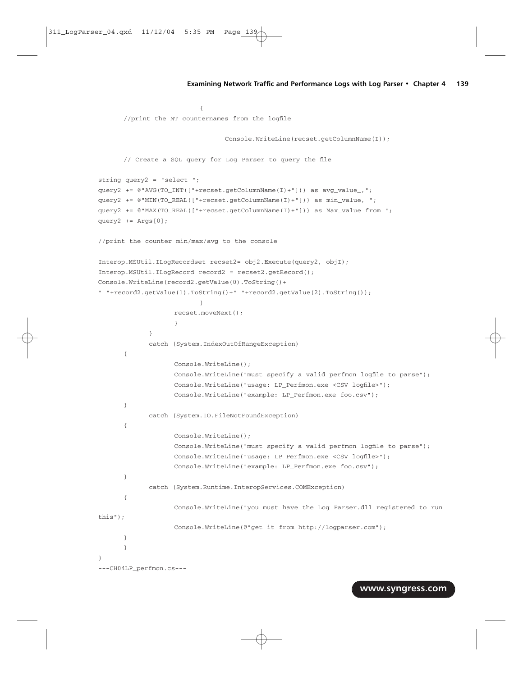```
{
      //print the NT counternames from the logfile
                                 Console.WriteLine(recset.getColumnName(I));
      // Create a SQL query for Log Parser to query the file
string query2 = "select ";
query2 += @"AVG(TO_INT(["+recset.getColumnName(I)+"])) as avg_value_,";
query2 += @"MIN(TO_REAL(["+recset.getColumnName(I)+"])) as min_value, ";
query2 += @"MAX(TO_REAL(["+recset.getColumnName(I)+"])) as Max_value from ";
query2 += Args[0];
//print the counter min/max/avg to the console
Interop.MSUtil.ILogRecordset recset2= obj2.Execute(query2, objI);
Interop.MSUtil.ILogRecord record2 = recset2.getRecord(); 
Console.WriteLine(record2.getValue(0).ToString()+
" "+record2.getValue(1).ToString()+" "+record2.getValue(2).ToString()); 
                           }
                    recset.moveNext();
                    }
             }
             catch (System.IndexOutOfRangeException)
       {
                    Console.WriteLine():
                    Console.WriteLine("must specify a valid perfmon logfile to parse");
                    Console.WriteLine("usage: LP_Perfmon.exe <CSV logfile>");
                    Console.WriteLine("example: LP_Perfmon.exe foo.csv");
      }
             catch (System.IO.FileNotFoundException)
       {
                    Console.WriteLine();
                    Console.WriteLine("must specify a valid perfmon logfile to parse");
                    Console.WriteLine("usage: LP_Perfmon.exe <CSV logfile>");
                    Console.WriteLine("example: LP_Perfmon.exe foo.csv");
      }
             catch (System.Runtime.InteropServices.COMException)
       {
                    Console.WriteLine("you must have the Log Parser.dll registered to run
this");
                    Console.WriteLine(@"get it from http://logparser.com");
      }
      }
}
---CH04LP_perfmon.cs---
```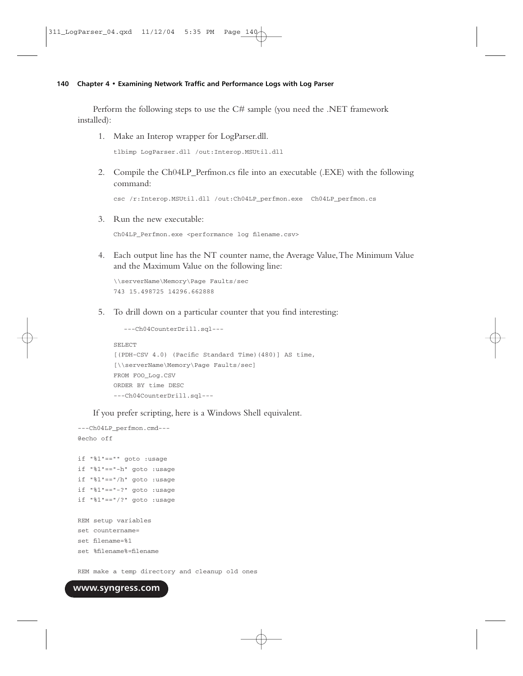Perform the following steps to use the C# sample (you need the .NET framework installed):

1. Make an Interop wrapper for LogParser.dll.

tlbimp LogParser.dll /out:Interop.MSUtil.dll

2. Compile the Ch04LP\_Perfmon.cs file into an executable (.EXE) with the following command:

csc /r:Interop.MSUtil.dll /out:Ch04LP\_perfmon.exe Ch04LP\_perfmon.cs

3. Run the new executable:

Ch04LP Perfmon.exe <performance log filename.csv>

4. Each output line has the NT counter name, the Average Value,The Minimum Value and the Maximum Value on the following line:

```
\\serverName\Memory\Page Faults/sec
743 15.498725 14296.662888
```
5. To drill down on a particular counter that you find interesting:

```
---Ch04CounterDrill.sql---
SELECT
[(PDH-CSV 4.0) (Pacific Standard Time)(480)] AS time,
[\\serverName\Memory\Page Faults/sec] 
FROM FOO_Log.CSV 
ORDER BY time DESC
---Ch04CounterDrill.sql---
```
If you prefer scripting, here is a Windows Shell equivalent.

```
---Ch04LP_perfmon.cmd---
@echo off
if "%1"=="" goto :usage
if "%1"=="-h" goto :usage
if "%1"=="/h" goto :usage
if "%1"=="-?" goto :usage
if "%1"=="/?" goto :usage
REM setup variables
set countername=
set filename=%1
set %filename%=filename
```
REM make a temp directory and cleanup old ones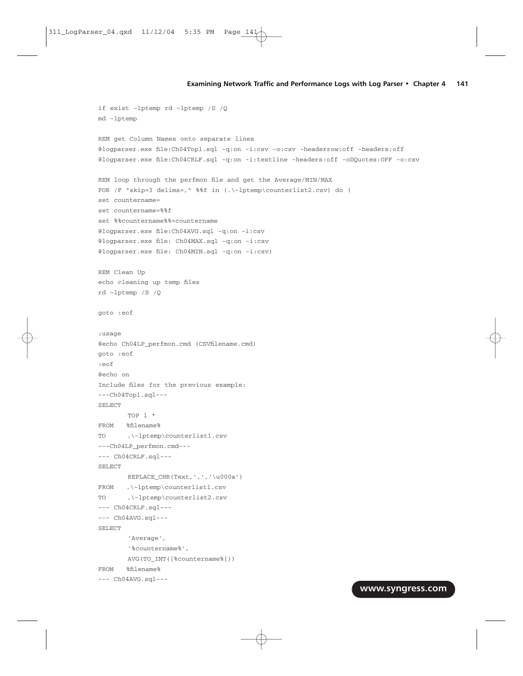```
if exist ~lptemp rd ~lptemp /S /Q
md ~lptemp
REM get Column Names onto separate lines
@logparser.exe file:Ch04Top1.sql -q:on -i:csv -o:csv -headerrow:off -headers:off 
@logparser.exe file:Ch04CRLF.sql -q:on -i:textline -headers:off -oDQuotes:OFF -o:csv
REM loop through the perfmon file and get the Average/MIN/MAX
FOR /F "skip=3 delims=," %%f in (.\~lptemp\counterlist2.csv) do (
set countername=
set countername=%%f
set %%countername%%=countername
@logparser.exe file:Ch04AVG.sql -q:on -i:csv 
@logparser.exe file: Ch04MAX.sql -q:on -i:csv 
@logparser.exe file: Ch04MIN.sql -q:on -i:csv)
REM Clean Up
echo cleaning up temp files
rd ~lptemp /S /Q
goto :eof
:usage
@echo Ch04LP perfmon.cmd (CSVfilename.cmd)
goto :eof
:eof
@echo on
Include files for the previous example:
---Ch04Top1.sql---
SELECT 
       TOP 1 * 
FROM %filename% 
TO .\~lptemp\counterlist1.csv
---Ch04LP_perfmon.cmd---
--- Ch04CRLF.sql---
SELECT 
       REPLACE CHR(Text,',','\u000a')
FROM .\~lptemp\counterlist1.csv 
TO .\~lptemp\counterlist2.csv
--- Ch04CRLF.sql---
--- Ch04AVG.sql---
SELECT
       'Average',
       '%countername%', 
       AVG(TO_INT([%countername%])) 
FROM %filename%
--- Ch04AVG.sql---
```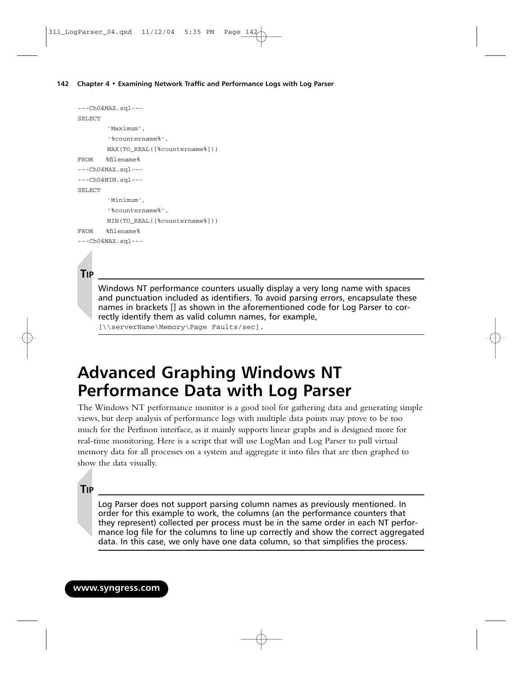```
---Ch04MAX.sol---SELECT
       'Maximum',
        '%countername%', 
       MAX(TO_REAL([%countername%])) 
FROM %filename%
---Ch04MAX.sql------Ch04MIN.sq1---SELECT
       'Minimum',
        '%countername%', 
       MIN(TO_REAL([%countername%]))
FROM %filename%
---Ch04MAX.sql---
```
**TIP**

Windows NT performance counters usually display a very long name with spaces and punctuation included as identifiers. To avoid parsing errors, encapsulate these names in brackets [] as shown in the aforementioned code for Log Parser to correctly identify them as valid column names, for example,

[\\serverName\Memory\Page Faults/sec].

# **Advanced Graphing Windows NT Performance Data with Log Parser**

The Windows NT performance monitor is a good tool for gathering data and generating simple views, but deep analysis of performance logs with multiple data points may prove to be too much for the Perfmon interface, as it mainly supports linear graphs and is designed more for real-time monitoring. Here is a script that will use LogMan and Log Parser to pull virtual memory data for all processes on a system and aggregate it into files that are then graphed to show the data visually.

**TIP**

Log Parser does not support parsing column names as previously mentioned. In order for this example to work, the columns (an the performance counters that they represent) collected per process must be in the same order in each NT performance log file for the columns to line up correctly and show the correct aggregated data. In this case, we only have one data column, so that simplifies the process.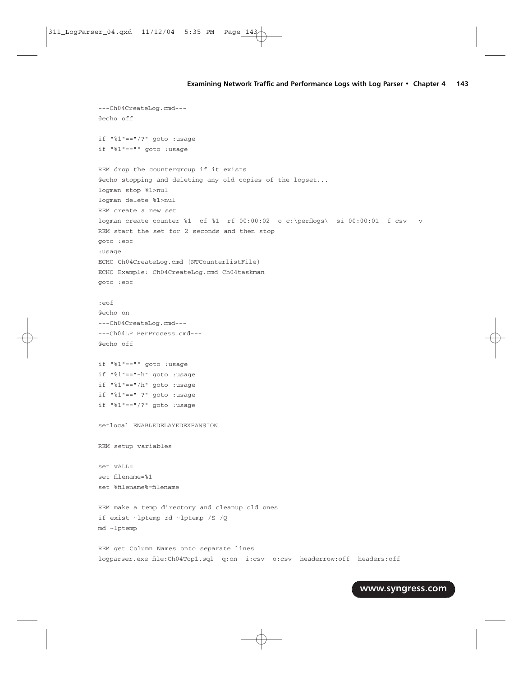```
---Ch04CreateLog.cmd---
@echo off
if "%1"=="/?" goto :usage
if "%1"=="" goto :usage
REM drop the countergroup if it exists
@echo stopping and deleting any old copies of the logset...
logman stop %1>nul
logman delete %1>nul
REM create a new set
logman create counter l -cf l -rf 00:00:02 -o c:\perflogs\ -si 00:00:01 -f csv --v
REM start the set for 2 seconds and then stop
goto :eof
:usage 
ECHO Ch04CreateLog.cmd {NTCounterlistFile}
ECHO Example: Ch04CreateLog.cmd Ch04taskman
goto :eof
:eof
@echo on
---Ch04CreateLog.cmd---
---Ch04LP_PerProcess.cmd---
@echo off
if "%1"=="" goto :usage
if "%1"=="-h" goto :usage
if "%1"=="/h" goto :usage
if "%1"=="-?" goto :usage
if "%1"=="/?" goto :usage
setlocal ENABLEDELAYEDEXPANSION
REM setup variables
set vALL=
set filename=%1
set %filename%=filename
REM make a temp directory and cleanup old ones
if exist ~lptemp rd ~lptemp /S /Q
md ~lptemp
REM get Column Names onto separate lines
logparser.exe file:Ch04Top1.sql -q:on -i:csv -o:csv -headerrow:off -headers:off
```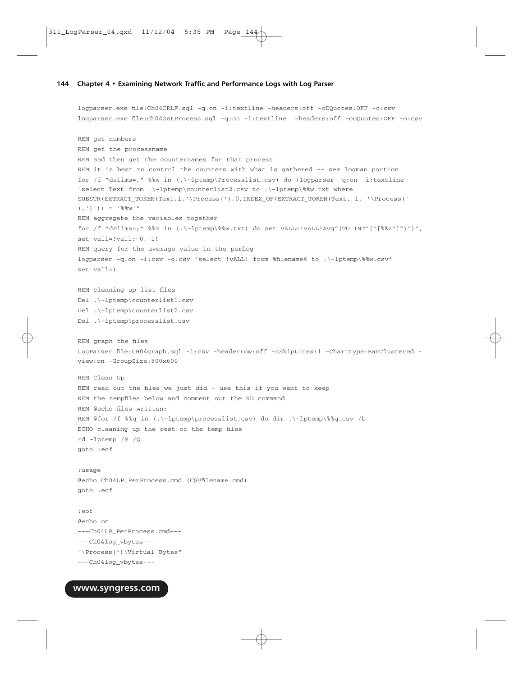```
logparser.exe file:Ch04CRLF.sql -q:on -i:textline -headers:off -oDQuotes:OFF -o:csv 
logparser.exe file:Ch04GetProcess.sql -q:on -i:textline -headers:off -oDQuotes:OFF -o:csv 
REM get numbers
REM get the processname
REM and then get the counternames for that process
REM it is best to control the counters with what is gathered -- see logman portion
for /f "delims=," %%w in (.\~lptemp\Processlist.csv) do (logparser -q:on -i:textline
"select Text from .\~lptemp\counterlist2.csv to .\~lptemp\%%w.txt where
SUBSTR(EXTRACT_TOKEN(Text,1,'\Process('),0,INDEX_OF(EXTRACT_TOKEN(Text, 1, '\Process('
),')')) = '%%w'"
REM aggregate the variables together 
for /f "delims=;" %%z in (.\>lptemp\%%w.txt) do set vALL=!vALL!Avg^(TO_INT^(^[%%z^]^)^)^,
set vall=!vall:~0,-1!
REM query for the average value in the perflog
logparser -q:on -i:csv -o:csv "select !vALL! from %filename% to .\~lptemp\%%w.csv"
set vall=)
REM cleaning up list files
Del .\~lptemp\counterlist1.csv
Del .\~lptemp\counterlist2.csv
Del .\~lptemp\processlist.csv
REM graph the files
LogParser file:CH04graph.sql -i:csv -headerrow:off -nSkipLines:1 -Charttype:BarClustered -
view:on -GroupSize:800x600
REM Clean Up
REM read out the files we just did – use this if you want to keep
REM the tempfiles below and comment out the RD command 
REM @echo files written:
REM @for /f %%q in (.\~lptemp\processlist.csv) do dir .\~lptemp\%%q.csv /b 
ECHO cleaning up the rest of the temp files
rd ~lptemp /S /Q
goto :eof
:usage
@echo Ch04LP_PerProcess.cmd (CSVfilename.cmd)
goto :eof
:eof
@echo on
---Ch04LP_PerProcess.cmd---
---Ch04log_vbytes---
"\Process(*)\Virtual Bytes"
---Ch04log_vbytes---
```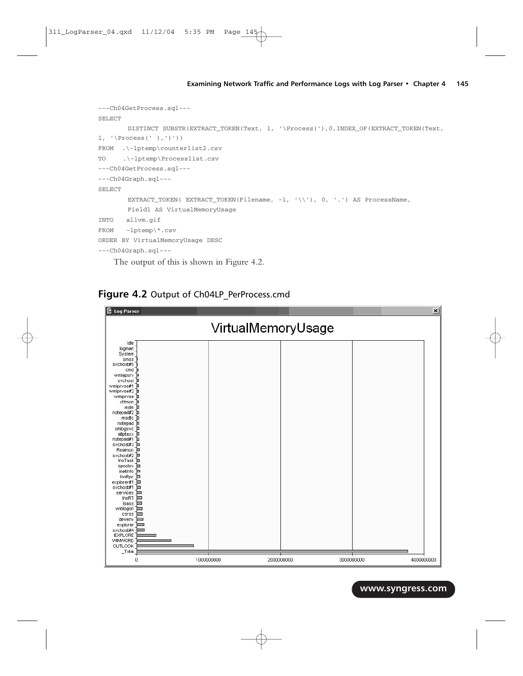```
---Ch04GetProcess.sql---
SELECT
       DISTINCT SUBSTR(EXTRACT_TOKEN(Text, 1, '\Process('),0,INDEX_OF(EXTRACT_TOKEN(Text,
1, '\Process(' ),')')) 
FROM .\~lptemp\counterlist2.csv
TO .\~lptemp\Processlist.csv
---Ch04GetProcess.sql---
---Ch04Graph.sql---
SELECT 
       EXTRACT_TOKEN( EXTRACT_TOKEN(Filename, -1, '\\'), 0, '.') AS ProcessName, 
       Field1 AS VirtualMemoryUsage 
INTO allvm.gif
FROM ~lptemp\*.csv 
ORDER BY VirtualMemoryUsage DESC
---Ch04Graph.sql---
```
The output of this is shown in Figure 4.2.



#### Figure 4.2 Output of Ch04LP PerProcess.cmd